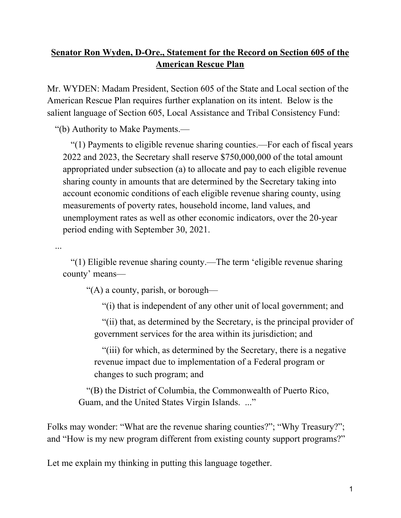## **Senator Ron Wyden, D-Ore., Statement for the Record on Section 605 of the American Rescue Plan**

Mr. WYDEN: Madam President, Section 605 of the State and Local section of the American Rescue Plan requires further explanation on its intent. Below is the salient language of Section 605, Local Assistance and Tribal Consistency Fund:

"(b) Authority to Make Payments.—

"(1) Payments to eligible revenue sharing counties.—For each of fiscal years 2022 and 2023, the Secretary shall reserve \$750,000,000 of the total amount appropriated under subsection (a) to allocate and pay to each eligible revenue sharing county in amounts that are determined by the Secretary taking into account economic conditions of each eligible revenue sharing county, using measurements of poverty rates, household income, land values, and unemployment rates as well as other economic indicators, over the 20-year period ending with September 30, 2021.

...

"(1) Eligible revenue sharing county.—The term 'eligible revenue sharing county' means—

"(A) a county, parish, or borough—

"(i) that is independent of any other unit of local government; and

"(ii) that, as determined by the Secretary, is the principal provider of government services for the area within its jurisdiction; and

"(iii) for which, as determined by the Secretary, there is a negative revenue impact due to implementation of a Federal program or changes to such program; and

"(B) the District of Columbia, the Commonwealth of Puerto Rico, Guam, and the United States Virgin Islands. ..."

Folks may wonder: "What are the revenue sharing counties?"; "Why Treasury?"; and "How is my new program different from existing county support programs?"

Let me explain my thinking in putting this language together.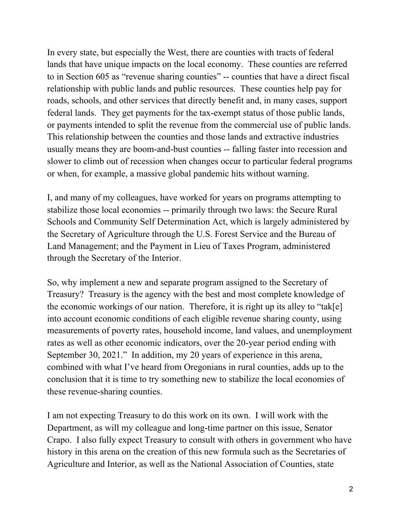In every state, but especially the West, there are counties with tracts of federal lands that have unique impacts on the local economy. These counties are referred to in Section 605 as "revenue sharing counties" -- counties that have a direct fiscal relationship with public lands and public resources. These counties help pay for roads, schools, and other services that directly benefit and, in many cases, support federal lands. They get payments for the tax-exempt status of those public lands, or payments intended to split the revenue from the commercial use of public lands. This relationship between the counties and those lands and extractive industries usually means they are boom-and-bust counties -- falling faster into recession and slower to climb out of recession when changes occur to particular federal programs or when, for example, a massive global pandemic hits without warning.

I, and many of my colleagues, have worked for years on programs attempting to stabilize those local economies -- primarily through two laws: the Secure Rural Schools and Community Self Determination Act, which is largely administered by the Secretary of Agriculture through the U.S. Forest Service and the Bureau of Land Management; and the Payment in Lieu of Taxes Program, administered through the Secretary of the Interior.

So, why implement a new and separate program assigned to the Secretary of Treasury? Treasury is the agency with the best and most complete knowledge of the economic workings of our nation. Therefore, it is right up its alley to "tak[e] into account economic conditions of each eligible revenue sharing county, using measurements of poverty rates, household income, land values, and unemployment rates as well as other economic indicators, over the 20-year period ending with September 30, 2021." In addition, my 20 years of experience in this arena, combined with what I've heard from Oregonians in rural counties, adds up to the conclusion that it is time to try something new to stabilize the local economies of these revenue-sharing counties.

I am not expecting Treasury to do this work on its own. I will work with the Department, as will my colleague and long-time partner on this issue, Senator Crapo. I also fully expect Treasury to consult with others in government who have history in this arena on the creation of this new formula such as the Secretaries of Agriculture and Interior, as well as the National Association of Counties, state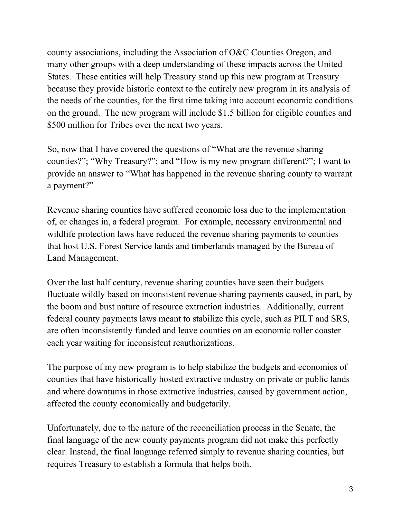county associations, including the Association of O&C Counties Oregon, and many other groups with a deep understanding of these impacts across the United States. These entities will help Treasury stand up this new program at Treasury because they provide historic context to the entirely new program in its analysis of the needs of the counties, for the first time taking into account economic conditions on the ground. The new program will include \$1.5 billion for eligible counties and \$500 million for Tribes over the next two years.

So, now that I have covered the questions of "What are the revenue sharing counties?"; "Why Treasury?"; and "How is my new program different?"; I want to provide an answer to "What has happened in the revenue sharing county to warrant a payment?"

Revenue sharing counties have suffered economic loss due to the implementation of, or changes in, a federal program. For example, necessary environmental and wildlife protection laws have reduced the revenue sharing payments to counties that host U.S. Forest Service lands and timberlands managed by the Bureau of Land Management.

Over the last half century, revenue sharing counties have seen their budgets fluctuate wildly based on inconsistent revenue sharing payments caused, in part, by the boom and bust nature of resource extraction industries. Additionally, current federal county payments laws meant to stabilize this cycle, such as PILT and SRS, are often inconsistently funded and leave counties on an economic roller coaster each year waiting for inconsistent reauthorizations.

The purpose of my new program is to help stabilize the budgets and economies of counties that have historically hosted extractive industry on private or public lands and where downturns in those extractive industries, caused by government action, affected the county economically and budgetarily.

Unfortunately, due to the nature of the reconciliation process in the Senate, the final language of the new county payments program did not make this perfectly clear. Instead, the final language referred simply to revenue sharing counties, but requires Treasury to establish a formula that helps both.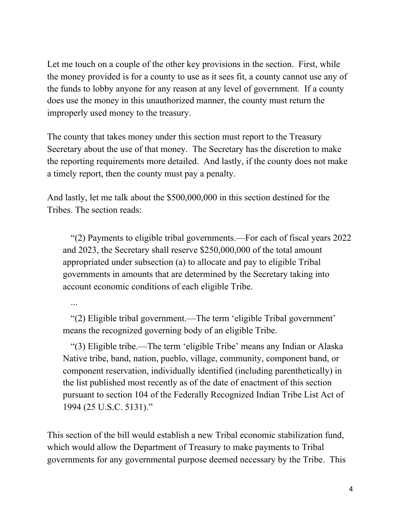Let me touch on a couple of the other key provisions in the section. First, while the money provided is for a county to use as it sees fit, a county cannot use any of the funds to lobby anyone for any reason at any level of government. If a county does use the money in this unauthorized manner, the county must return the improperly used money to the treasury.

The county that takes money under this section must report to the Treasury Secretary about the use of that money. The Secretary has the discretion to make the reporting requirements more detailed. And lastly, if the county does not make a timely report, then the county must pay a penalty.

And lastly, let me talk about the \$500,000,000 in this section destined for the Tribes. The section reads:

"(2) Payments to eligible tribal governments.—For each of fiscal years 2022 and 2023, the Secretary shall reserve \$250,000,000 of the total amount appropriated under subsection (a) to allocate and pay to eligible Tribal governments in amounts that are determined by the Secretary taking into account economic conditions of each eligible Tribe.

...

"(2) Eligible tribal government.—The term 'eligible Tribal government' means the recognized governing body of an eligible Tribe.

"(3) Eligible tribe.—The term 'eligible Tribe' means any Indian or Alaska Native tribe, band, nation, pueblo, village, community, component band, or component reservation, individually identified (including parenthetically) in the list published most recently as of the date of enactment of this section pursuant to section 104 of the Federally Recognized Indian Tribe List Act of 1994 (25 U.S.C. 5131)."

This section of the bill would establish a new Tribal economic stabilization fund, which would allow the Department of Treasury to make payments to Tribal governments for any governmental purpose deemed necessary by the Tribe. This